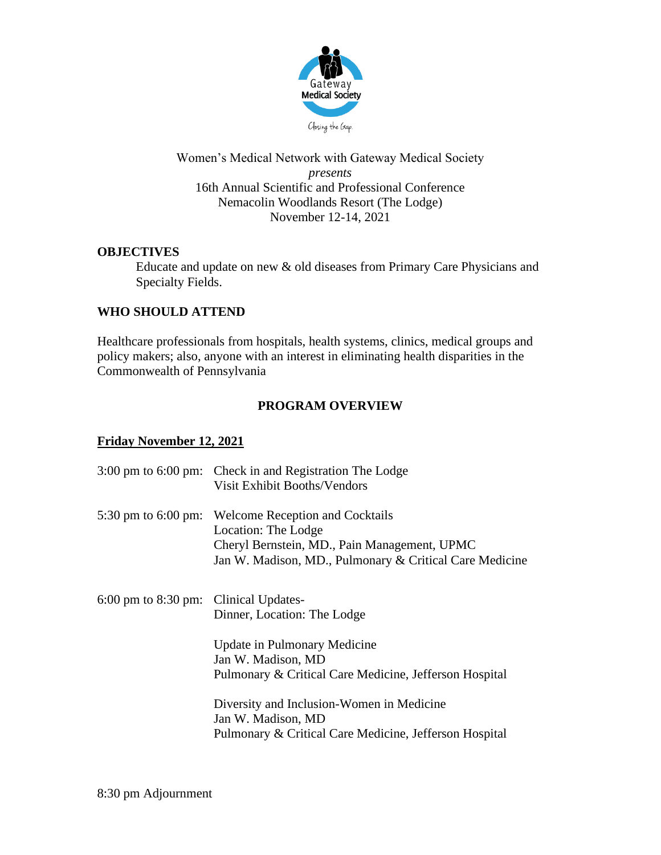

Women's Medical Network with Gateway Medical Society *presents* 16th Annual Scientific and Professional Conference Nemacolin Woodlands Resort (The Lodge) November 12-14, 2021

## **OBJECTIVES**

Educate and update on new & old diseases from Primary Care Physicians and Specialty Fields.

## **WHO SHOULD ATTEND**

Healthcare professionals from hospitals, health systems, clinics, medical groups and policy makers; also, anyone with an interest in eliminating health disparities in the Commonwealth of Pennsylvania

## **PROGRAM OVERVIEW**

## **Friday November 12, 2021**

|                                       | 3:00 pm to 6:00 pm: Check in and Registration The Lodge<br><b>Visit Exhibit Booths/Vendors</b>                                                                           |
|---------------------------------------|--------------------------------------------------------------------------------------------------------------------------------------------------------------------------|
| 5:30 pm to $6:00$ pm:                 | <b>Welcome Reception and Cocktails</b><br>Location: The Lodge<br>Cheryl Bernstein, MD., Pain Management, UPMC<br>Jan W. Madison, MD., Pulmonary & Critical Care Medicine |
| 6:00 pm to 8:30 pm: Clinical Updates- | Dinner, Location: The Lodge                                                                                                                                              |
|                                       | Update in Pulmonary Medicine<br>Jan W. Madison, MD<br>Pulmonary & Critical Care Medicine, Jefferson Hospital                                                             |
|                                       | Diversity and Inclusion-Women in Medicine<br>Jan W. Madison, MD<br>Pulmonary & Critical Care Medicine, Jefferson Hospital                                                |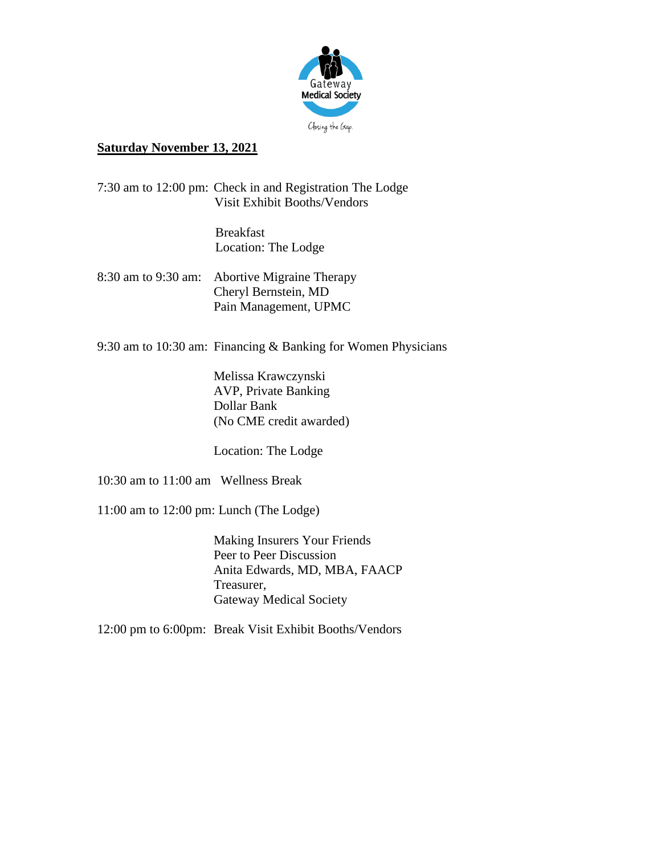

## **Saturday November 13, 2021**

7:30 am to 12:00 pm: Check in and Registration The Lodge Visit Exhibit Booths/Vendors

> Breakfast Location: The Lodge

8:30 am to 9:30 am: Abortive Migraine Therapy Cheryl Bernstein, MD Pain Management, UPMC

9:30 am to 10:30 am: Financing & Banking for Women Physicians

Melissa Krawczynski AVP, Private Banking Dollar Bank (No CME credit awarded)

Location: The Lodge

10:30 am to 11:00 am Wellness Break

11:00 am to 12:00 pm: Lunch (The Lodge)

Making Insurers Your Friends Peer to Peer Discussion Anita Edwards, MD, MBA, FAACP Treasurer, Gateway Medical Society

12:00 pm to 6:00pm: Break Visit Exhibit Booths/Vendors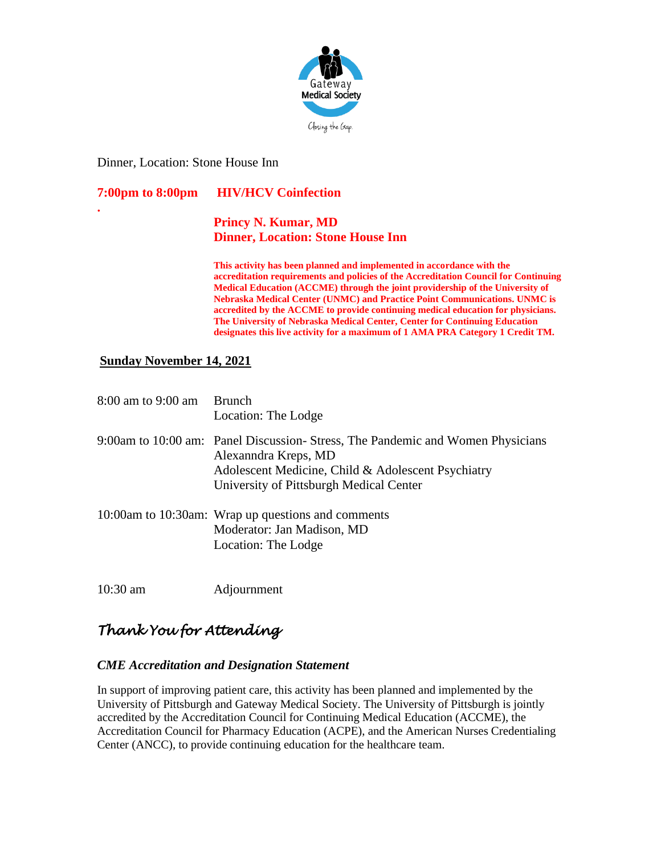

Dinner, Location: Stone House Inn

**7:00pm to 8:00pm HIV/HCV Coinfection**

**.**

# **Princy N. Kumar, MD Dinner, Location: Stone House Inn**

**This activity has been planned and implemented in accordance with the accreditation requirements and policies of the Accreditation Council for Continuing Medical Education (ACCME) through the joint providership of the University of Nebraska Medical Center (UNMC) and Practice Point Communications. UNMC is accredited by the ACCME to provide continuing medical education for physicians. The University of Nebraska Medical Center, Center for Continuing Education designates this live activity for a maximum of 1 AMA PRA Category 1 Credit TM.** 

## **Sunday November 14, 2021**

| 8:00 am to 9:00 am | <b>Brunch</b><br>Location: The Lodge                                                                                                                                                                    |
|--------------------|---------------------------------------------------------------------------------------------------------------------------------------------------------------------------------------------------------|
|                    | 9:00am to 10:00 am: Panel Discussion-Stress, The Pandemic and Women Physicians<br>Alexanndra Kreps, MD<br>Adolescent Medicine, Child & Adolescent Psychiatry<br>University of Pittsburgh Medical Center |
|                    | 10:00am to 10:30am: Wrap up questions and comments<br>Moderator: Jan Madison, MD<br>Location: The Lodge                                                                                                 |

10:30 am Adjournment

# *Thank You for Attending*

#### *CME Accreditation and Designation Statement*

In support of improving patient care, this activity has been planned and implemented by the University of Pittsburgh and Gateway Medical Society. The University of Pittsburgh is jointly accredited by the Accreditation Council for Continuing Medical Education (ACCME), the Accreditation Council for Pharmacy Education (ACPE), and the American Nurses Credentialing Center (ANCC), to provide continuing education for the healthcare team.